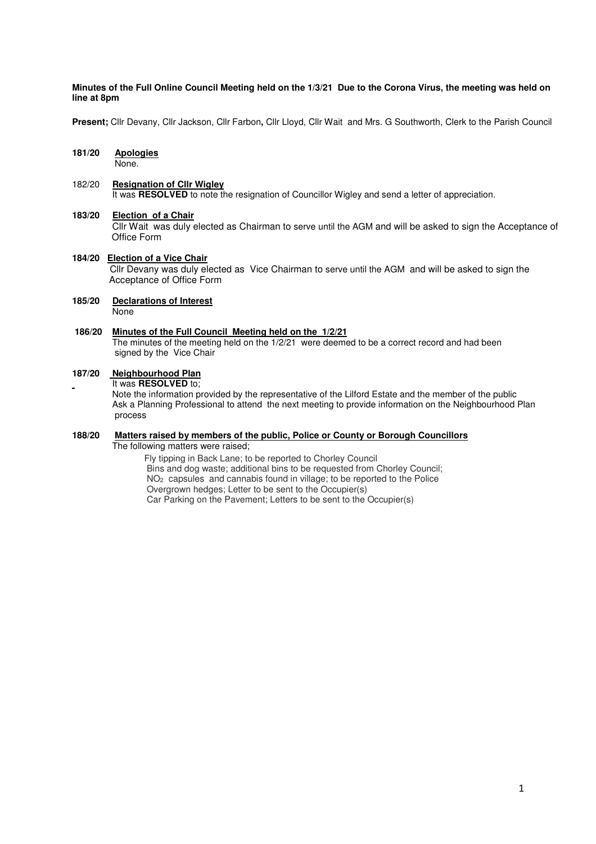#### **Minutes of the Full Online Council Meeting held on the 1/3/21 Due to the Corona Virus, the meeting was held on line at 8pm**

**Present;** Cllr Devany, Cllr Jackson, Cllr Farbon**,** Cllr Lloyd, Cllr Wait and Mrs. G Southworth, Clerk to the Parish Council

## **181/20 Apologies**

None.

### 182/20 **Resignation of Cllr Wigley**

It was **RESOLVED** to note the resignation of Councillor Wigley and send a letter of appreciation.

### **183/20 Election of a Chair**

Cllr Wait was duly elected as Chairman to serve until the AGM and will be asked to sign the Acceptance of Office Form

#### **184/20 Election of a Vice Chair**  Cllr Devany was duly elected as Vice Chairman to serve until the AGM and will be asked to sign the Acceptance of Office Form

#### **185/20 Declarations of Interest None**

#### **186/20 Minutes of the Full Council Meeting held on the 1/2/21**

 The minutes of the meeting held on the 1/2/21 were deemed to be a correct record and had been signed by the Vice Chair

### **187/20 Neighbourhood Plan**

It was **RESOLVED** to;

 Note the information provided by the representative of the Lilford Estate and the member of the public Ask a Planning Professional to attend the next meeting to provide information on the Neighbourhood Plan process

### **188/20 Matters raised by members of the public, Police or County or Borough Councillors**

The following matters were raised;

Fly tipping in Back Lane; to be reported to Chorley Council Bins and dog waste; additional bins to be requested from Chorley Council; NO2 capsules and cannabis found in village; to be reported to the Police Overgrown hedges; Letter to be sent to the Occupier(s) Car Parking on the Pavement; Letters to be sent to the Occupier(s)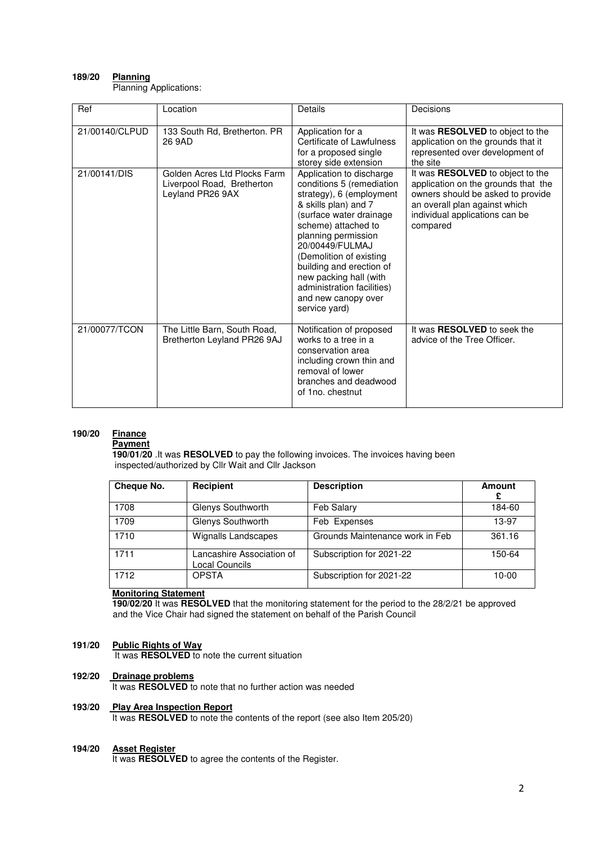### **189/20 Planning**

Planning Applications:

| Ref            | Location                                                                       | Details                                                                                                                                                                                                                                                                                                                                                      | Decisions                                                                                                                                                                                   |
|----------------|--------------------------------------------------------------------------------|--------------------------------------------------------------------------------------------------------------------------------------------------------------------------------------------------------------------------------------------------------------------------------------------------------------------------------------------------------------|---------------------------------------------------------------------------------------------------------------------------------------------------------------------------------------------|
| 21/00140/CLPUD | 133 South Rd, Bretherton. PR<br>26 9AD                                         | Application for a<br>Certificate of Lawfulness<br>for a proposed single<br>storey side extension                                                                                                                                                                                                                                                             | It was RESOLVED to object to the<br>application on the grounds that it<br>represented over development of<br>the site                                                                       |
| 21/00141/DIS   | Golden Acres Ltd Plocks Farm<br>Liverpool Road, Bretherton<br>Leyland PR26 9AX | Application to discharge<br>conditions 5 (remediation<br>strategy), 6 (employment<br>& skills plan) and 7<br>(surface water drainage<br>scheme) attached to<br>planning permission<br>20/00449/FULMAJ<br>(Demolition of existing<br>building and erection of<br>new packing hall (with<br>administration facilities)<br>and new canopy over<br>service yard) | It was RESOLVED to object to the<br>application on the grounds that the<br>owners should be asked to provide<br>an overall plan against which<br>individual applications can be<br>compared |
| 21/00077/TCON  | The Little Barn, South Road,<br>Bretherton Leyland PR26 9AJ                    | Notification of proposed<br>works to a tree in a<br>conservation area<br>including crown thin and<br>removal of lower<br>branches and deadwood<br>of 1no. chestnut                                                                                                                                                                                           | It was <b>RESOLVED</b> to seek the<br>advice of the Tree Officer.                                                                                                                           |

### **190/20 Finance**

#### **Payment**

 **190/01/20** .It was **RESOLVED** to pay the following invoices. The invoices having been inspected/authorized by Cllr Wait and Cllr Jackson

| Cheque No. | Recipient                                   | <b>Description</b>              | Amount  |
|------------|---------------------------------------------|---------------------------------|---------|
| 1708       | Glenys Southworth                           | Feb Salary                      | 184-60  |
| 1709       | Glenys Southworth                           | Feb Expenses                    | 13-97   |
| 1710       | <b>Wignalls Landscapes</b>                  | Grounds Maintenance work in Feb | 361.16  |
| 1711       | Lancashire Association of<br>Local Councils | Subscription for 2021-22        | 150-64  |
| 1712       | <b>OPSTA</b>                                | Subscription for 2021-22        | $10-00$ |

### **Monitoring Statement**

 **190/02/20** It was **RESOLVED** that the monitoring statement for the period to the 28/2/21 be approved and the Vice Chair had signed the statement on behalf of the Parish Council

### **191/20 Public Rights of Way**

It was **RESOLVED** to note the current situation

### **192/20 Drainage problems**

It was **RESOLVED** to note that no further action was needed

#### **Play Area Inspection Report**

It was **RESOLVED** to note the contents of the report (see also Item 205/20)

#### **194/20 Asset Register**

It was **RESOLVED** to agree the contents of the Register.